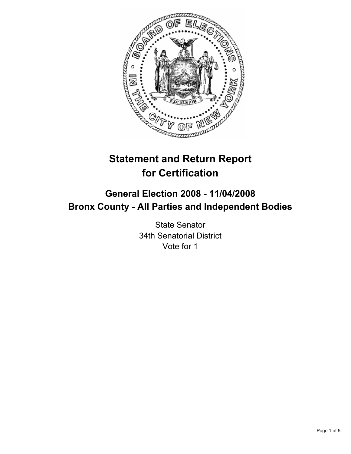

# **Statement and Return Report for Certification**

## **General Election 2008 - 11/04/2008 Bronx County - All Parties and Independent Bodies**

State Senator 34th Senatorial District Vote for 1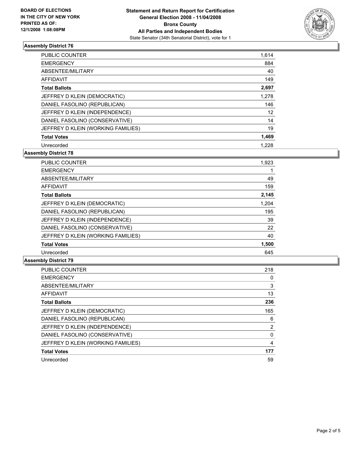

## **Assembly District 76**

| <b>PUBLIC COUNTER</b>              | 1,614 |
|------------------------------------|-------|
| <b>EMERGENCY</b>                   | 884   |
| ABSENTEE/MILITARY                  | 40    |
| <b>AFFIDAVIT</b>                   | 149   |
| <b>Total Ballots</b>               | 2,697 |
| JEFFREY D KLEIN (DEMOCRATIC)       | 1,278 |
| DANIEL FASOLINO (REPUBLICAN)       | 146   |
| JEFFREY D KLEIN (INDEPENDENCE)     | 12    |
| DANIEL FASOLINO (CONSERVATIVE)     | 14    |
| JEFFREY D KLEIN (WORKING FAMILIES) | 19    |
| <b>Total Votes</b>                 | 1,469 |
| Unrecorded                         | 1.228 |

**Assembly District 78**

| <b>PUBLIC COUNTER</b>              | 1,923 |
|------------------------------------|-------|
| <b>EMERGENCY</b>                   |       |
| ABSENTEE/MILITARY                  | 49    |
| <b>AFFIDAVIT</b>                   | 159   |
| <b>Total Ballots</b>               | 2,145 |
| JEFFREY D KLEIN (DEMOCRATIC)       | 1,204 |
| DANIEL FASOLINO (REPUBLICAN)       | 195   |
| JEFFREY D KLEIN (INDEPENDENCE)     | 39    |
| DANIEL FASOLINO (CONSERVATIVE)     | 22    |
| JEFFREY D KLEIN (WORKING FAMILIES) | 40    |
| <b>Total Votes</b>                 | 1,500 |
| Unrecorded                         | 645   |

#### **Assembly District 79**

| PUBLIC COUNTER                     | 218 |
|------------------------------------|-----|
| <b>EMERGENCY</b>                   | 0   |
| ABSENTEE/MILITARY                  | 3   |
| <b>AFFIDAVIT</b>                   | 13  |
| <b>Total Ballots</b>               | 236 |
| JEFFREY D KLEIN (DEMOCRATIC)       | 165 |
| DANIEL FASOLINO (REPUBLICAN)       | 6   |
| JEFFREY D KLEIN (INDEPENDENCE)     | 2   |
| DANIEL FASOLINO (CONSERVATIVE)     |     |
| JEFFREY D KLEIN (WORKING FAMILIES) |     |
| <b>Total Votes</b>                 | 177 |
| Unrecorded                         | 59  |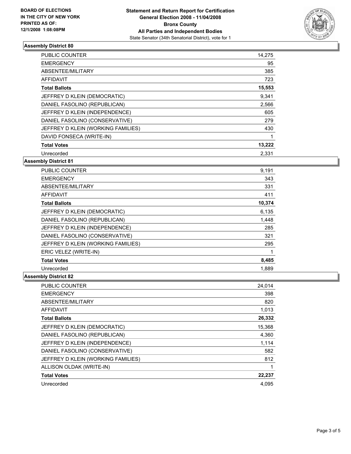

## **Assembly District 80**

| <b>PUBLIC COUNTER</b>              | 14,275 |
|------------------------------------|--------|
| <b>EMERGENCY</b>                   | 95     |
| ABSENTEE/MILITARY                  | 385    |
| <b>AFFIDAVIT</b>                   | 723    |
| <b>Total Ballots</b>               | 15,553 |
| JEFFREY D KLEIN (DEMOCRATIC)       | 9,341  |
| DANIEL FASOLINO (REPUBLICAN)       | 2,566  |
| JEFFREY D KLEIN (INDEPENDENCE)     | 605    |
| DANIEL FASOLINO (CONSERVATIVE)     | 279    |
| JEFFREY D KLEIN (WORKING FAMILIES) | 430    |
| DAVID FONSECA (WRITE-IN)           |        |
| <b>Total Votes</b>                 | 13,222 |
| Unrecorded                         | 2,331  |

## **Assembly District 81**

| <b>PUBLIC COUNTER</b>              | 9,191  |  |
|------------------------------------|--------|--|
| <b>EMERGENCY</b>                   | 343    |  |
| ABSENTEE/MILITARY                  | 331    |  |
| <b>AFFIDAVIT</b>                   | 411    |  |
| <b>Total Ballots</b>               | 10,374 |  |
| JEFFREY D KLEIN (DEMOCRATIC)       | 6,135  |  |
| DANIEL FASOLINO (REPUBLICAN)       | 1,448  |  |
| JEFFREY D KLEIN (INDEPENDENCE)     | 285    |  |
| DANIEL FASOLINO (CONSERVATIVE)     | 321    |  |
| JEFFREY D KLEIN (WORKING FAMILIES) | 295    |  |
| ERIC VELEZ (WRITE-IN)              |        |  |
| <b>Total Votes</b>                 | 8,485  |  |
| Unrecorded                         | 1.889  |  |

## **Assembly District 82**

| <b>PUBLIC COUNTER</b>              | 24,014 |
|------------------------------------|--------|
| <b>EMERGENCY</b>                   | 398    |
| ABSENTEE/MILITARY                  | 820    |
| <b>AFFIDAVIT</b>                   | 1,013  |
| <b>Total Ballots</b>               | 26,332 |
| JEFFREY D KLEIN (DEMOCRATIC)       | 15,368 |
| DANIEL FASOLINO (REPUBLICAN)       | 4,360  |
| JEFFREY D KLEIN (INDEPENDENCE)     | 1,114  |
| DANIEL FASOLINO (CONSERVATIVE)     | 582    |
| JEFFREY D KLEIN (WORKING FAMILIES) | 812    |
| ALLISON OLDAK (WRITE-IN)           |        |
| <b>Total Votes</b>                 | 22,237 |
| Unrecorded                         | 4.095  |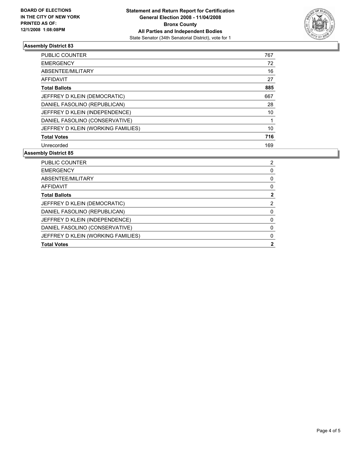

## **Assembly District 83**

| <b>PUBLIC COUNTER</b>              | 767 |  |
|------------------------------------|-----|--|
| <b>EMERGENCY</b>                   | 72  |  |
| ABSENTEE/MILITARY                  | 16  |  |
| AFFIDAVIT                          | 27  |  |
| <b>Total Ballots</b>               | 885 |  |
| JEFFREY D KLEIN (DEMOCRATIC)       | 667 |  |
| DANIEL FASOLINO (REPUBLICAN)       | 28  |  |
| JEFFREY D KLEIN (INDEPENDENCE)     | 10  |  |
| DANIEL FASOLINO (CONSERVATIVE)     |     |  |
| JEFFREY D KLEIN (WORKING FAMILIES) | 10  |  |
| <b>Total Votes</b>                 | 716 |  |
| Unrecorded                         | 169 |  |

#### **Assembly District 85**